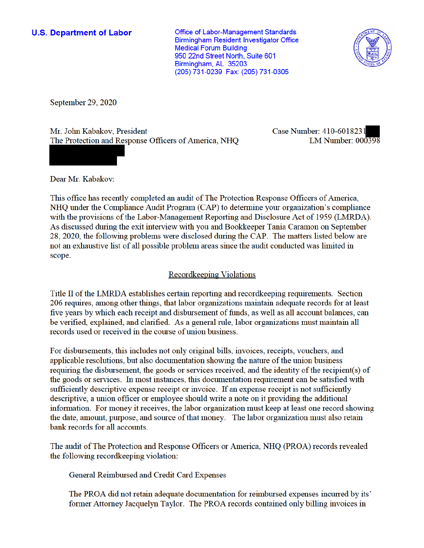## **U.S. Department of Labor**

**Office of Labor-Management Standards Birmingham Resident Investigator Office Medical Forum Building** 950 22nd Street North, Suite 601 Birmingham, AL 35203 (205) 731-0239 Fax: (205) 731-0305



September 29, 2020

Mr. John Kabakov, President The Protection and Response Officers of America, NHQ Case Number: 410-6018231 LM Number:  $000398$ 

Dear Mr. Kabakov:

This office has recently completed an audit of The Protection Response Officers of America, NHQ under the Compliance Audit Program (CAP) to determine your organization's compliance with the provisions of the Labor-Management Reporting and Disclosure Act of 1959 (LMRDA). As discussed during the exit interview with you and Bookkeeper Tania Caramon on September 28, 2020, the following problems were disclosed during the CAP. The matters listed below are not an exhaustive list of all possible problem areas since the audit conducted was limited in scope.

## **Recordkeeping Violations**

Title II of the LMRDA establishes certain reporting and recordkeeping requirements. Section 206 requires, among other things, that labor organizations maintain adequate records for at least five years by which each receipt and disbursement of funds, as well as all account balances, can be verified, explained, and clarified. As a general rule, labor organizations must maintain all records used or received in the course of union business.

For disbursements, this includes not only original bills, invoices, receipts, vouchers, and applicable resolutions, but also documentation showing the nature of the union business requiring the disbursement, the goods or services received, and the identity of the recipient(s) of the goods or services. In most instances, this documentation requirement can be satisfied with sufficiently descriptive expense receipt or invoice. If an expense receipt is not sufficiently descriptive, a union officer or employee should write a note on it providing the additional information. For money it receives, the labor organization must keep at least one record showing the date, amount, purpose, and source of that money. The labor organization must also retain bank records for all accounts.

The audit of The Protection and Response Officers or America, NHQ (PROA) records revealed the following record keeping violation:

General Reimbursed and Credit Card Expenses

The PROA did not retain adequate documentation for reimbursed expenses incurred by its' former Attorney Jacquelyn Taylor. The PROA records contained only billing invoices in